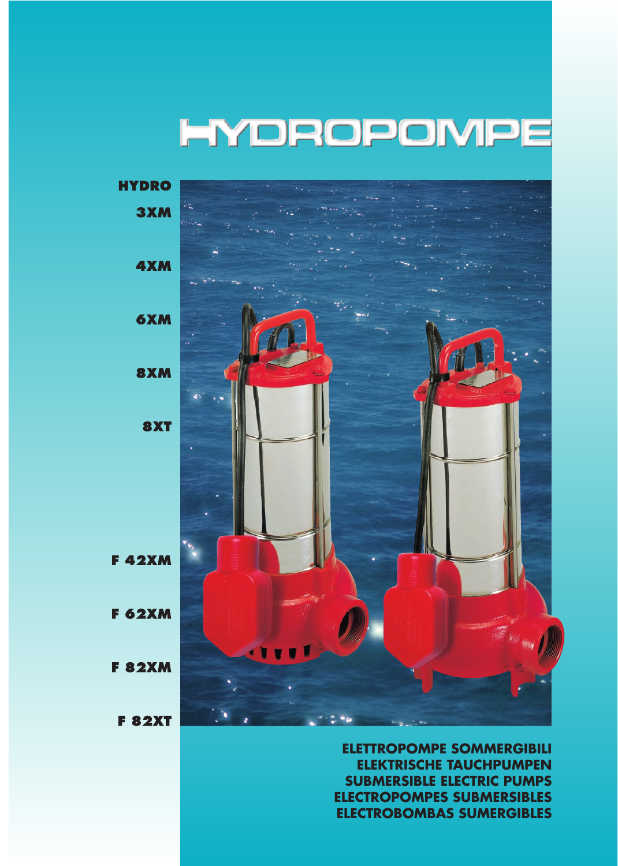# **HYDROPOMPE**



**ELETTROPOMPE SOMMERGIBILI ELEKTRISCHE TAUCHPUMPEN SUBMERSIBLE ELECTRIC PUMPS ELECTROPOMPES SUBMERSIBLES ELECTROBOMBAS SUMERGIBLES**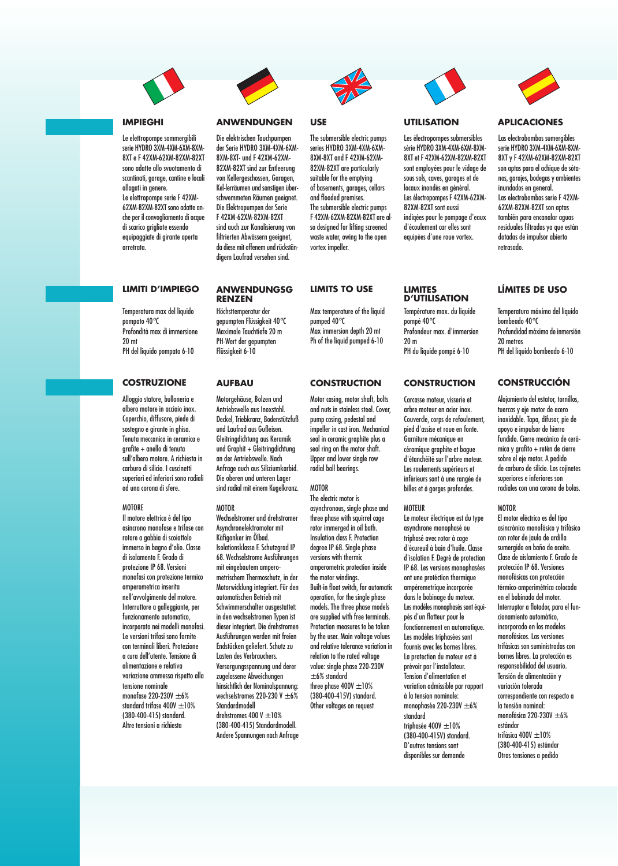



### **IMPIEGHI**

Le elettropompe sommergibili serie HYDRO 3XM-4XM-6XM-8XM-8XT e F 42XM-62XM-82XM-82XT sono adatte allo svuotamento di scantinati, garage, cantine e locali allagati in genere. Le elettropompe serie F 42XM-62XM-82XM-82XT sono adatte anche per il convogliamento di acque di scarico grigliate essendo equipaggiate di girante aperta arretrata.

Temperatura max del liquido pompato 40°C Profondità max di immersione 20 mt PH del liquido pompato 6-10

#### **COSTRUZIONE**

Alloggio statore, bulloneria e albero motore in acciaio inox. Coperchio, diffusore, piede di sostegno e girante in ghisa. Tenuta meccanica in ceramica e grafite + anello di tenuta sull'albero motore. A richiesta in carburo di silicio. I cuscinetti superiori ed inferiori sono radiali ad una corona di sfere.

#### **MOTORE**

Il motore elettrico è del tipo asincrono monofase e trifase con rotore a gabbia di scoiattolo immerso in bagno d'olio. Classe di isolamento F. Grado di protezione IP 68. Versioni monofasi con protezione termico amperometrica inserita nell'avvolgimento del motore. Interruttore a galleggiante, per funzionamento automatico, incorporato nei modelli monofasi. Le versioni trifasi sono fornite con terminali liberi. Protezione a cura dell'utente. Tensione di alimentazione e relativa variazione ammessa rispetto alla tensione nominale monofase 220-230V  $\pm$  6% standard trifase  $400V + 10%$ (380-400-415) standard. Altre tensioni a richiesta

#### **LIMITI D'IMPIEGO ANWENDUNGSG RENZEN**

Die elektrischen Tauchpumpen der Serie HYDRO 3XM-4XM-6XM-8XM-8XT- und F 42XM-62XM-82XM-82XT sind zur Entleerung von Kellergeschossen, Garagen, Kel-lerräumen und sonstigen überschwemmeten Räumen geeignet. Die Elektropumpen der Serie F 42XM-62XM-82XM-82XT sind auch zur Kanalisierung von filtrierten Abwässern geeignet, da diese mit offenem und rückständigem Laufrad versehen sind.

Höchsttemperatur der gepumpten Flüssigkeit 40°C Maximale Tauchtiefe 20 m PH-Wert der gepumpten Flüssigkeit 6-10

Motorgehäuse, Bolzen und Antriebswelle aus Inoxstahl. Deckel, Triebkranz, Bodenstützfuß und Laufrad aus Gußeisen. Gleitringdichtung aus Keramik und Graphit + Gleitringdichtung an der Antriebswelle. Nach Anfrage auch aus Siliziumkarbid. Die oberen und unteren Lager sind radial mit einem Kugelkranz.

#### **MOTOR**

Wechselstromer und drehstromer Asynchronelektromotor mit Käfiganker im Ölbad. Isolationsklasse F. Schutzgrad IP 68. Wechselstrome Ausführungen mit eingebautem amperometrischem Thermoschutz, in der Motorwicklung integriert. Für den automatischen Betrieb mit Schwimmerschalter ausgestattet: in den wechselstromen Typen ist dieser integriert. Die drehstromen Ausführungen werden mit freien Endstücken geliefert. Schutz zu Lasten des Verbrauchers. Versorgungsspannung und derer zugelassene Abweichungen hinsichtlich der Nominalspannung: wechselstromes 220-230 V  $\pm$  6% **Standardmodell** drehstromes  $400 V + 10%$ (380-400-415) Standardmodell. Andere Spannungen nach Anfrage



The submersible electric pumps series HYDRO 3XM-4XM-6XM-8XM-8XT and F 42XM-62XM-82XM-82XT are particularly suitable for the emptying of basements, garages, cellars and flooded premises. The submersible electric pumps F 42XM-62XM-82XM-82XT are also designed for lifting screened waste water, owing to the open vortex impeller.

## **LIMITS TO USE LIMITES**

Max temperature of the liquid pumped 40°C Max immersion depth 20 mt Ph of the liquid pumped 6-10

Motor casing, motor shaft, bolts and nuts in stainless steel. Cover, pump casing, pedestal and impeller in cast iron. Mechanical seal in ceramic graphite plus a seal ring on the motor shaft. Upper and lower single row radial ball bearings.

## The electric motor is

asynchronous, single phase and three phase with squirrel cage rotor immerged in oil bath. Insulation class F. Protection degree IP 68. Single phase versions with thermic amperometric protection inside the motor windings. Built-in float switch, for automatic operation, for the single phase models. The three phase models are supplied with free terminals. Protection measures to be taken by the user. Main voltage values and relative tolerance variation in relation to the rated voltage value: single phase 220-230V  $± 6%$  standard three phase  $400V + 10%$ (380-400-415V) standard. Other voltages on request



Les électropompes submersibles série HYDRO 3XM-4XM-6XM-8XM-8XT et F 42XM-62XM-82XM-82XT sont employées pour le vidage de sous sols, caves, garages et de locaux inondés en général. Les électropompes F 42XM-62XM-82XM-82XT sont aussi indiqées pour le pompage d'eaux d'écoulement car elles sont equipées d'une roue vortex.

# **D'UTILISATION**

Température max. du liquide pompé 40°C Profondeur max. d'immersion 20 m PH du liquide pompé 6-10

Carcasse moteur, visserie et arbre moteur en acier inox. Couvercle, corps de refoulement, pied d'assise et roue en fonte. Garniture mécanique en céramique graphite et bague d'étanchéité sur l'arbre moteur. Les roulements supérieurs et inférieurs sont à une rangée de billes et à gorges profondes.

#### MOTEUR

Le moteur électrique est du type asynchrone monophasé ou triphasé avec rotor à cage d'écureuil à bain d'huile. Classe d'isolation F. Degré de protection IP 68. Les versions monophasées ont une protéction thermique ampèremetrique incorporée dans le bobinage du moteur. Les modèles monophasés sont équipés d'un flotteur pour le fonctionnement en automatique. Les modèles triphasées sont fournis avec les bornes libres. La protection du moteur est à prévoir par l'installateur. Tension d'alimentation et variation admissible par rapport à la tension nominale: monophasée 220-230V  $+6\%$ standard triphasée  $400V + 10%$ (380-400-415V) standard. D'autres tensions sont disponibles sur demande



## **ANWENDUNGEN USE UTILISATION APLICACIONES**

Las electrobombas sumergibles serie HYDRO 3XM-4XM-6XM-8XM-8XT y F 42XM-62XM-82XM-82XT son aptas para el achique de sótanos, garajes, bodegas y ambientes inundados en general. Las electrobombas serie F 42XM-62XM-82XM-82XT son aptas también para encanalar aguas residuales filtradas ya que están dotadas de impulsor abierto retrasado.

#### **LÍMITES DE USO**

Temperatura máxima del líquido bombeado 40°C Profundidad máxima de inmersión 20 metros PH del líquido bombeado 6-10

Alojamiento del estator, tornillos, tuercas y eje motor de acero inoxidable. Tapa, difusor, pie de apoyo e impulsor de hierro fundido. Cierre mecánico de cerámica y grafito + retén de cierre sobre el eje motor. A pedido de carburo de silicio. Los cojinetes superiores e inferiores son radiales con una corona de bolas.

#### MOTOR

El motor eléctrico es del tipo asincrónico monofásico y trifásico con rotor de jaula de ardilla sumergido en baño de aceite. Clase de aislamiento F. Grado de protección IP 68. Versiones monofásicas con protección térmico-amperimétrica colocada en el bobinado del motor. Interruptor a flotador, para el funcionamiento automático, incorporado en los modelos monofásicos. Las versiones trifásicas son suministradas con bornes libres. La protección es responsabilidad del usuario. Tensión de alimentación y variación tolerada correspondiente con respecto a la tensión nominal: monofásica 220-230V  $\pm$  6% estándar trifásica  $400V + 10%$ (380-400-415) estándar Otras tensiones a pedido

**AUFBAU CONSTRUCTION CONSTRUCTION CONSTRUCCIÓN**

#### MOTOR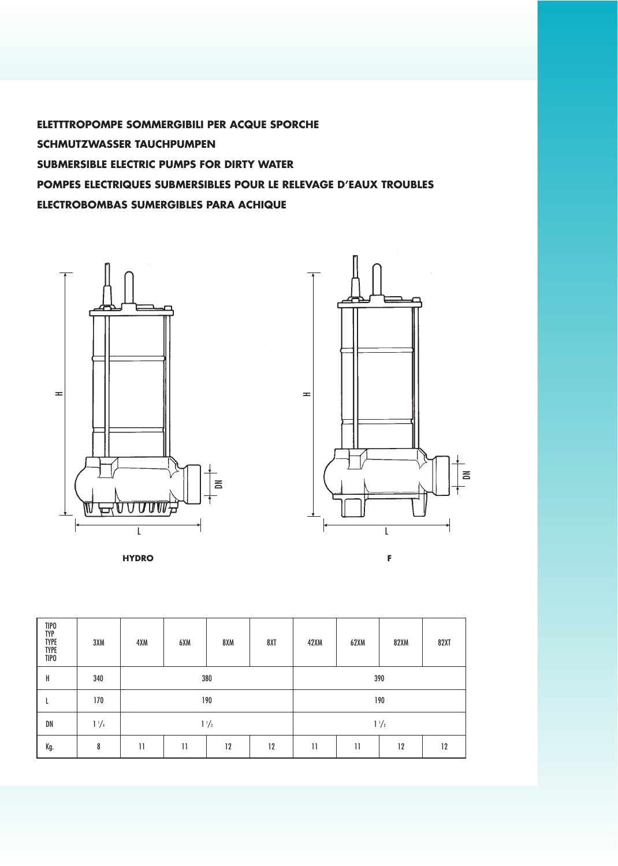**ELETTTROPOMPE SOMMERGIBILI PER ACQUE SPORCHE SCHMUTZWASSER TAUCHPUMPEN SUBMERSIBLE ELECTRIC PUMPS FOR DIRTY WATER POMPES ELECTRIQUES SUBMERSIBLES POUR LE RELEVAGE D'EAUX TROUBLES ELECTROBOMBAS SUMERGIBLES PARA ACHIQUE**



**HYDRO**



| TIPO<br>TYP<br>TYPE<br>TYPE<br>TIPO | 3XM            | 4XM          | 6XM                       | 8XM            | 8XT | <b>62XM</b><br><b>82XM</b><br><b>82XT</b><br><b>42XM</b> |              |    |    |  |  |  |  |
|-------------------------------------|----------------|--------------|---------------------------|----------------|-----|----------------------------------------------------------|--------------|----|----|--|--|--|--|
| H                                   | 340            |              |                           | 380            |     | 390                                                      |              |    |    |  |  |  |  |
|                                     | 170            |              |                           | 190            |     | 190                                                      |              |    |    |  |  |  |  |
| DN                                  | $1\frac{1}{4}$ |              |                           | $1\frac{1}{2}$ |     | $1\frac{1}{2}$                                           |              |    |    |  |  |  |  |
| Kg.                                 | 8              | $\mathbf{1}$ | $\boldsymbol{\mathsf{1}}$ | 12             | 12  | $\mathbf{1}$                                             | $\mathbf{1}$ | 12 | 12 |  |  |  |  |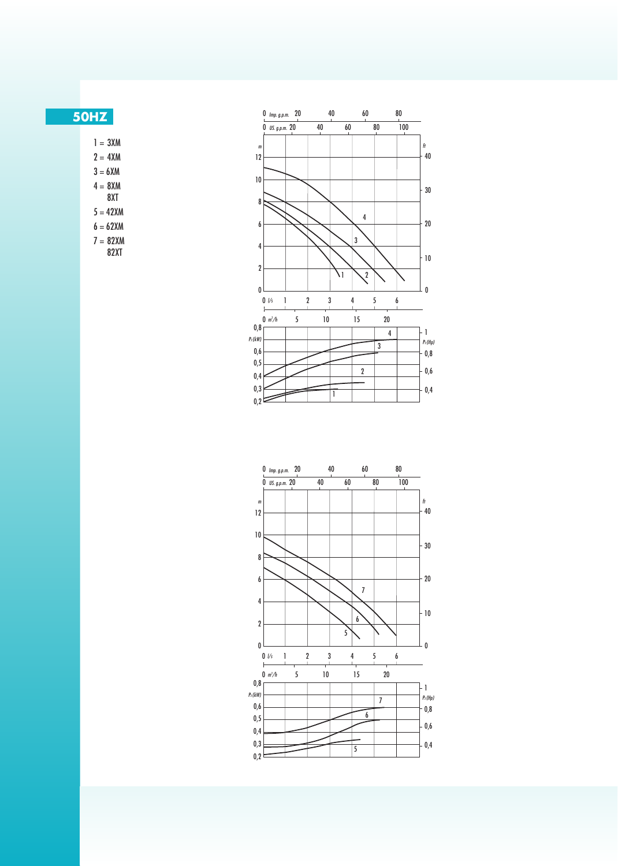# **50HZ**

- $1 = 3XM$  $2 = 4XM$  $3 = 6XM$  $4 = 8XM$ 8XT  $5 = 42XM$  $6 = 62$ XM
- 7 = 82XM 82XT



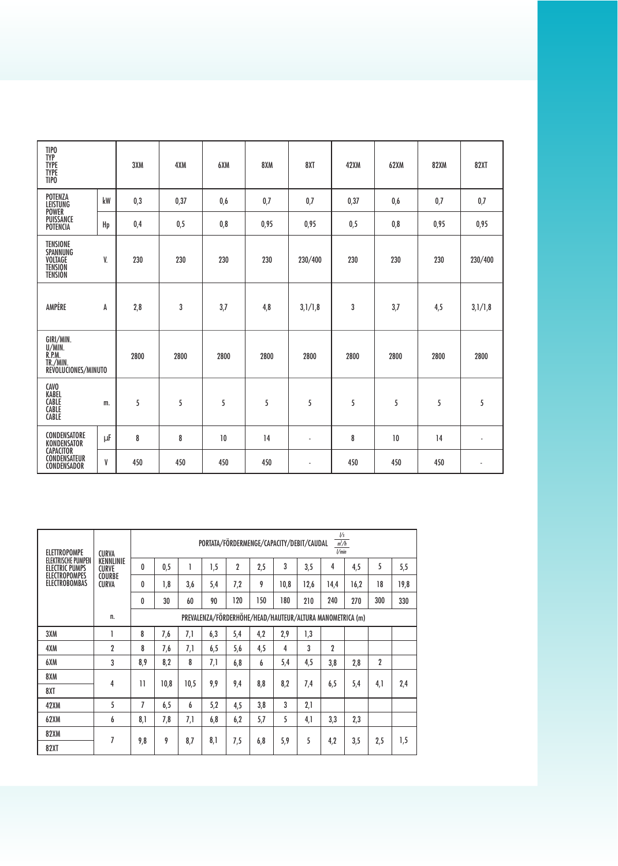| TIP <sub>0</sub><br><b>TYP</b><br><b>TYPE</b><br><b>TYPE</b><br>TIP <sub>0</sub>  |    | 3XM  | 4XM  | 6XM  | 8XM  | 8XT                      | <b>42XM</b> | <b>62XM</b> | <b>82XM</b> | <b>82XT</b>              |
|-----------------------------------------------------------------------------------|----|------|------|------|------|--------------------------|-------------|-------------|-------------|--------------------------|
| POTENZA<br><b>LEISTUNG</b><br><b>POWER</b>                                        | kW | 0,3  | 0,37 | 0,6  | 0,7  | 0,7                      | 0,37        | 0,6         | 0,7         | 0,7                      |
| PUISSANCE<br>POTENCIA                                                             | Hp | 0,4  | 0.5  | 0,8  | 0,95 | 0,95                     | 0,5         | 0,8         | 0,95        | 0,95                     |
| <b>TENSIONE</b><br>SPANNUNG<br><b>VOLTAGE</b><br><b>TENSION</b><br><b>TENSIÓN</b> | V. | 230  | 230  | 230  | 230  | 230/400                  | 230         | 230         | 230         | 230/400                  |
| AMPÉRE                                                                            | A  | 2,8  | 3    | 3,7  | 4,8  | 3,1/1,8                  | 3           | 3,7         | 4,5         | 3,1/1,8                  |
| GIRI/MIN.<br>U/MIN.<br>R.P.M.<br>TR./MIN.<br>REVOLUCIONES/MINUTO                  |    | 2800 | 2800 | 2800 | 2800 | 2800                     | 2800        | 2800        | 2800        | 2800                     |
| CAV <sub>0</sub><br><b>KABEL</b><br><b>CABLE</b><br><b>CABLE</b><br><b>CABLE</b>  | m. | 5    | 5    | 5    | 5    | 5                        | 5           | 5           | 5           | 5                        |
| CONDENSATORE<br>KONDENSATOR                                                       | μF | 8    | 8    | 10   | 14   | $\overline{\phantom{a}}$ | 8           | 10          | 14          | $\overline{\phantom{a}}$ |
| CAPACITOR<br>CONDENSATEUR<br><b>CONDENSADOR</b>                                   | V  | 450  | 450  | 450  | 450  | $\overline{\phantom{a}}$ | 450         | 450         | 450         | $\overline{\phantom{a}}$ |

| ELETTROPOMPE                                 | <b>CURVA</b>              | l/s<br>PORTATA/FÖRDERMENGE/CAPACITY/DEBIT/CAUDAL<br>$m^3/h$<br>l/min |      |      |                                                           |                |     |      |      |      |      |               |      |  |
|----------------------------------------------|---------------------------|----------------------------------------------------------------------|------|------|-----------------------------------------------------------|----------------|-----|------|------|------|------|---------------|------|--|
| ELEKTRISCHE PUMPEN<br><b>ELECTRIC PUMPS</b>  | KENNLINIE<br><b>CURVE</b> | $\mathbf{0}$                                                         | 0,5  | 1    | 1,5                                                       | $\overline{2}$ | 2,5 | 3    | 3,5  | 4    | 4,5  | 5             | 5,5  |  |
| <b>ELECTROPOMPES</b><br><b>ELECTROBOMBAS</b> | COURBE<br><b>CURVA</b>    | 0                                                                    | 1,8  | 3,6  | 5,4                                                       | 7,2            | 9   | 10,8 | 12.6 | 14,4 | 16,2 | 18            | 19,8 |  |
|                                              |                           | 0                                                                    | 30   | 60   | 90                                                        | 120            | 150 | 180  | 210  | 240  | 270  | 300           | 330  |  |
|                                              | n.                        |                                                                      |      |      | PREVALENZA/FÖRDERHÖHE/HEAD/HAUTEUR/ALTURA MANOMETRICA (m) |                |     |      |      |      |      |               |      |  |
| 3XM                                          |                           | 8                                                                    | 7,6  | 7,1  | 6,3                                                       | 5,4            | 4,2 | 2,9  | 1,3  |      |      |               |      |  |
| 4XM                                          | 2                         | 8                                                                    | 7,6  | 7,1  | 6,5                                                       | 5,6            | 4,5 | 4    | 3    | 2    |      |               |      |  |
| 6XM                                          | 3                         | 8,9                                                                  | 8,2  | 8    | 7,1                                                       | 6,8            | 6   | 5,4  | 4,5  | 3,8  | 2,8  | $\mathfrak 2$ |      |  |
| 8XM                                          | 4                         | 11                                                                   |      |      | 9,9                                                       |                |     |      |      |      |      |               | 2,4  |  |
| 8XT                                          |                           |                                                                      | 10,8 | 10,5 |                                                           | 9,4            | 8,8 | 8,2  | 7,4  | 6,5  | 5,4  | 4,1           |      |  |
| <b>42XM</b>                                  | 5                         | 7                                                                    | 6,5  | 6    | 5,2                                                       | 4,5            | 3,8 | 3    | 2,1  |      |      |               |      |  |
| 62XM                                         | 6                         | 8,1                                                                  | 7,8  | 7,1  | 6,8                                                       | 6,2            | 5,7 | 5    | 4,1  | 3,3  | 2,3  |               |      |  |
| <b>82XM</b>                                  | 7                         | 9,8                                                                  | 9    | 8,7  | 8,1                                                       | 7,5            | 6,8 | 5,9  | 5    | 4,2  | 3,5  | 2,5           | 1,5  |  |
| 82XT                                         |                           |                                                                      |      |      |                                                           |                |     |      |      |      |      |               |      |  |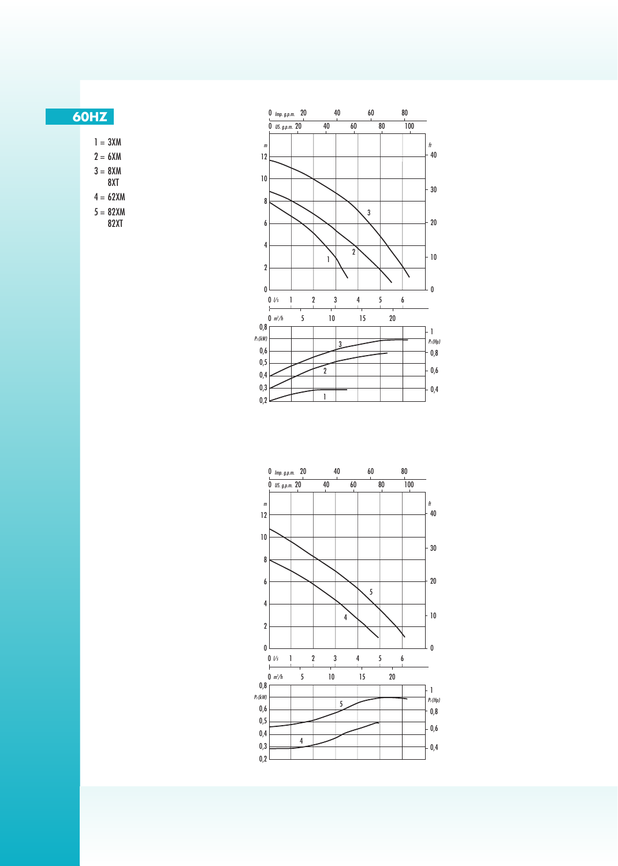# **60HZ**

- $1 = 3XM$
- $2 = 6XM$
- $3 = 8XM$ 8XT
- $4 = 62XM$
- $5 = 82XM$
- 82XT



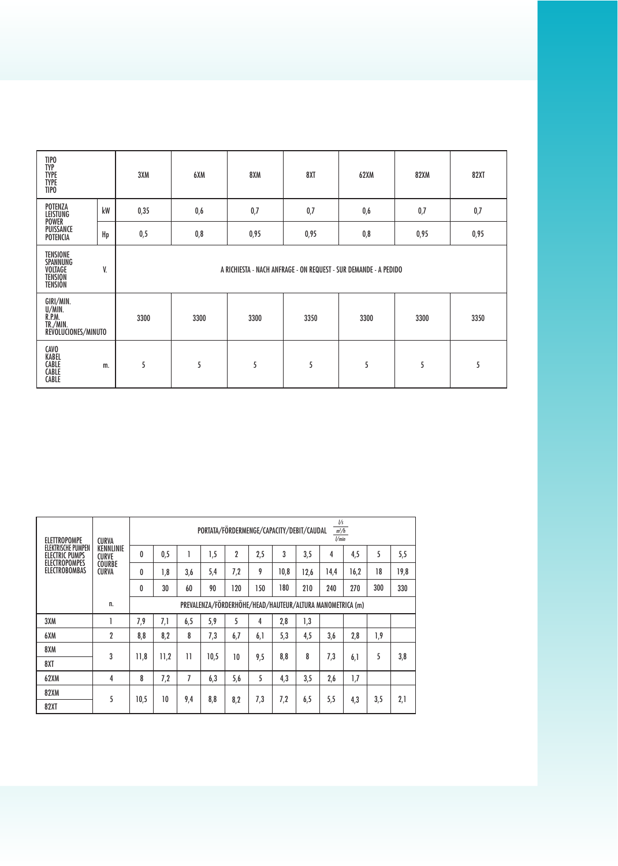| TIP <sub>0</sub><br><b>TYP</b><br><b>TYPE</b><br><b>TYPE</b><br>TIPO |    | 3XM  | 6XM  | 8XM  | 8XT  | <b>62XM</b>                                                      | <b>82XM</b> | <b>82XT</b> |
|----------------------------------------------------------------------|----|------|------|------|------|------------------------------------------------------------------|-------------|-------------|
| POTENZA<br>LEISTUNG<br><b>POWER</b>                                  | kW | 0,35 | 0,6  | 0,7  | 0,7  | 0,6                                                              | 0,7         | 0,7         |
| PUISSANCE<br>POTENCIA                                                | Hp | 0,5  | 0,8  | 0,95 | 0,95 | 0,8                                                              | 0,95        | 0,95        |
| TENSIONE<br>SPANNUNG<br>VOLTAGE<br><b>TENSION</b><br>TENSIÓN         | V. |      |      |      |      | A RICHIESTA - NACH ANFRAGE - ON REQUEST - SUR DEMANDE - A PEDIDO |             |             |
| GIRI/MIN.<br>U/MIN.<br>R.P.M.<br>TR./MIN.<br>REVOLUCIONES/MINUTO     |    | 3300 | 3300 | 3300 | 3350 | 3300                                                             | 3300        | 3350        |
| CAVO<br>KABEL<br><b>CABLE</b><br><b>CABLE</b><br><b>CABLE</b>        | m. | 5    | 5    | 5    | 5    | 5                                                                | 5           | 5           |

| ELETTROPOMPE                                 | <b>CURVA</b>                     | l/s<br>$m^3/h$<br>PORTATA/FÖRDERMENGE/CAPACITY/DEBIT/CAUDAL<br>l/min |                                                           |     |      |                |     |      |      |      |      |     |      |  |
|----------------------------------------------|----------------------------------|----------------------------------------------------------------------|-----------------------------------------------------------|-----|------|----------------|-----|------|------|------|------|-----|------|--|
| ELEKTRISCHE PUMPEN<br><b>ELECTRIC PUMPS</b>  | <b>KENNLINIE</b><br><b>CURVE</b> | $\mathbf{0}$                                                         | 0,5                                                       | 1   | 1,5  | $\overline{2}$ | 2,5 | 3    | 3,5  | 4    | 4,5  | 5   | 5,5  |  |
| <b>ELECTROPOMPES</b><br><b>ELECTROBOMBAS</b> | <b>COURBE</b><br><b>CURVA</b>    | $\mathbf{0}$                                                         | 1,8                                                       | 3,6 | 5,4  | 7,2            | 9   | 10,8 | 12,6 | 14,4 | 16,2 | 18  | 19,8 |  |
|                                              |                                  | $\mathbf{0}$                                                         | 30                                                        | 60  | 90   | 120            | 150 | 180  | 210  | 240  | 270  | 300 | 330  |  |
|                                              | n.                               |                                                                      | PREVALENZA/FÖRDERHÖHE/HEAD/HAUTEUR/ALTURA MANOMETRICA (m) |     |      |                |     |      |      |      |      |     |      |  |
| 3XM                                          |                                  | 7,9                                                                  | 7,1                                                       | 6,5 | 5,9  | 5              | 4   | 2,8  | 1,3  |      |      |     |      |  |
| 6XM                                          | $\overline{2}$                   | 8,8                                                                  | 8,2                                                       | 8   | 7,3  | 6,7            | 6,1 | 5,3  | 4,5  | 3,6  | 2,8  | 1,9 |      |  |
| 8XM                                          | 3                                | 11,8                                                                 | 11,2                                                      | 11  | 10,5 | 10             | 9,5 | 8,8  | 8    | 7,3  | 6,1  | 5   | 3,8  |  |
| 8XT                                          |                                  |                                                                      |                                                           |     |      |                |     |      |      |      |      |     |      |  |
| 62XM                                         | 4                                | 8                                                                    | 7,2                                                       | 7   | 6,3  | 5,6            | 5   | 4,3  | 3,5  | 2.6  | 1,7  |     |      |  |
| <b>82XM</b>                                  | 5                                | 10,5                                                                 | 10                                                        | 9,4 | 8,8  |                |     | 7,2  | 6,5  |      | 4,3  | 3,5 | 2,1  |  |
| <b>82XT</b>                                  |                                  |                                                                      |                                                           |     |      | 8,2            | 7,3 |      |      | 5,5  |      |     |      |  |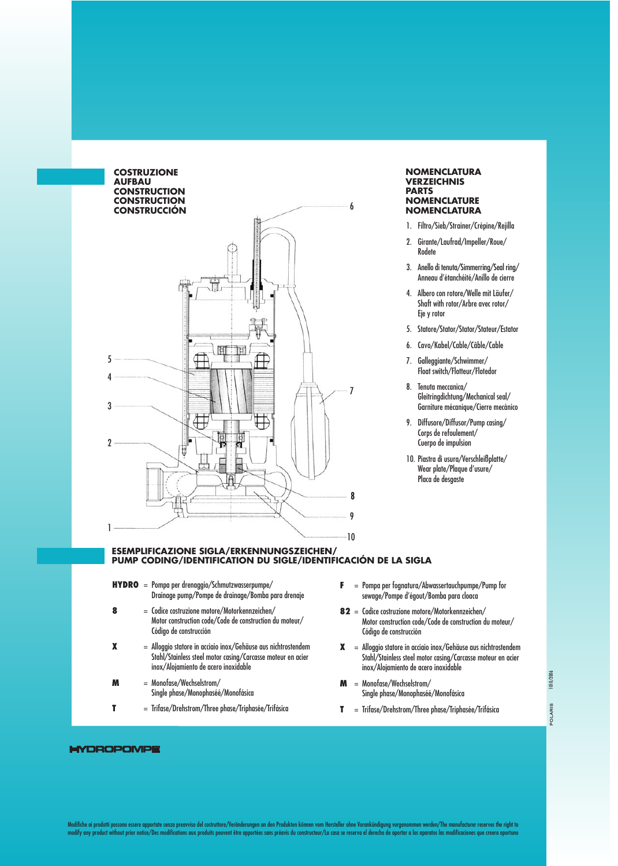

#### **NOMENCLATURA VERZEICHNIS PARTS NOMENCLATURE NOMENCLATURA**

- 1. Filtro/Sieb/Strainer/Crépine/Rejilla
- 2. Girante/Laufrad/Impeller/Roue/ Rodete
- 3. Anello di tenuta/Simmerring/Seal ring/ Anneau d'étanchéité/Anillo de cierre
- 4. Albero con rotore/Welle mit Läufer/ Shaft with rotor/Arbre avec rotor/ Eje y rotor
- 5. Statore/Stator/Stator/Stateur/Estator
- 6. Cavo/Kabel/Cable/Câble/Cable
- 7. Galleggiante/Schwimmer/ Float switch/Flotteur/Flotedor
- 8. Tenuta meccanica/ Gleitringdichtung/Mechanical seal/ Garniture mécanique/Cierre mecánico
- 9. Diffusore/Diffusor/Pump casing/ Corps de refoulement/ Cuerpo de impulsion
- 10. Piastra di usura/Verschleißplatte/ Wear plate/Plaque d'usure/ Placa de desgaste

#### **ESEMPLIFICAZIONE SIGLA/ERKENNUNGSZEICHEN/ PUMP CODING/IDENTIFICATION DU SIGLE/IDENTIFICACIÓN DE LA SIGLA**

- **HYDRO** = Pompa per drenaggio/Schmutzwasserpumpe/ Drainage pump/Pompe de drainage/Bomba para drenaje
- **8** = Codice costruzione motore/Motorkennzeichen/ Motor construction code/Code de construction du moteur/ Código de construcción
- **X** = Alloggio statore in acciaio inox/Gehäuse aus nichtrostendem Stahl/Stainless steel motor casing/Carcasse moteur en acier inox/Alojamiento de acero inoxidable
- **M** = Monofase/Wechselstrom/ Single phase/Monophaséé/Monofásica
- **T** = Trifase/Drehstrom/Three phase/Triphasée/Trifásica
- **F** = Pompa per fognatura/Abwassertauchpumpe/Pump for sewage/Pompe d'égout/Bomba para cloaca
- **82** = Codice costruzione motore/Motorkennzeichen/ Motor construction code/Code de construction du moteur/ Código de construcción
- **X** = Alloggio statore in acciaio inox/Gehäuse aus nichtrostendem Stahl/Stainless steel motor casing/Carcasse moteur en acier inox/Alojamiento de acero inoxidable
- **M** = Monofase/Wechselstrom/ Single phase/Monophaséé/Monofásica
- **T** = Trifase/Drehstrom/Three phase/Triphasée/Trifásica

POLARIS

**PIRALO** 

1010/2006

#### **HYDROPOMPE**

Modifiche ai prodotti possono essere apportate senza preavviso del costruttore/Veränderungen an den Produkten können vom Hersteller ohne Vorankündigung vorgenommen werden/The manufacturer reserves the right to modify any product without prior notice/Des modifications aux produits peuvent être apportées sans préavis du constructeur/La casa se reserva el derecho de aportar a los aparatos las modificaciones que creera oportuno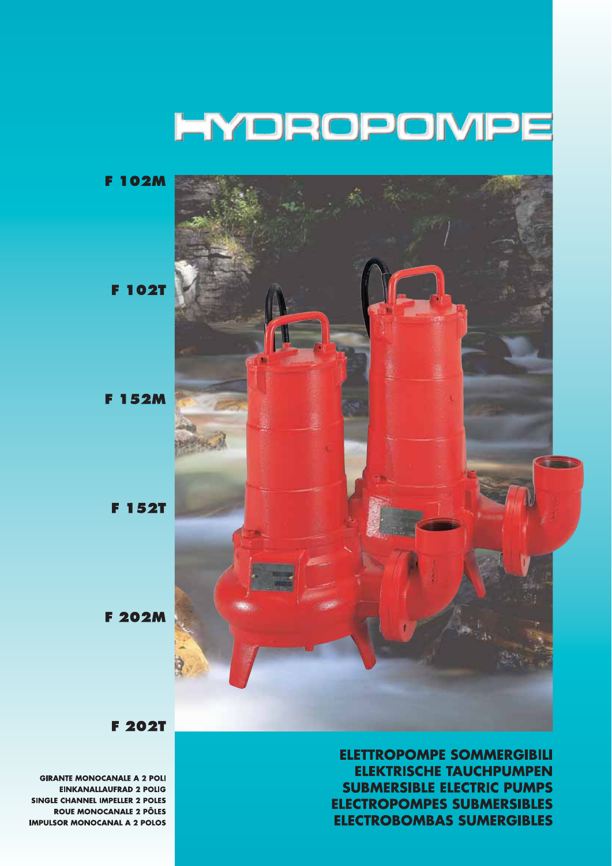# **HYDROPOMPE**

**F102M** 

**F 152M** 

**F 102T** 

**F 152T** 

**F202M** 

**ELETTROPOMPE SOMMERGIBILI ELEKTRISCHE TAUCHPUMPEN SUBMERSIBLE ELECTRIC PUMPS ELECTROPOMPES SUBMERSIBLES ELECTROBOMBAS SUMERGIBLES** 

**F 202T** 

**GIRANTE MONOCANALE A 2 POLI EINKANALLAUFRAD 2 POLIG SINGLE CHANNEL IMPELLER 2 POLES** ROUE MONOCANALE 2 PÔLES **IMPULSOR MONOCANAL A 2 POLOS**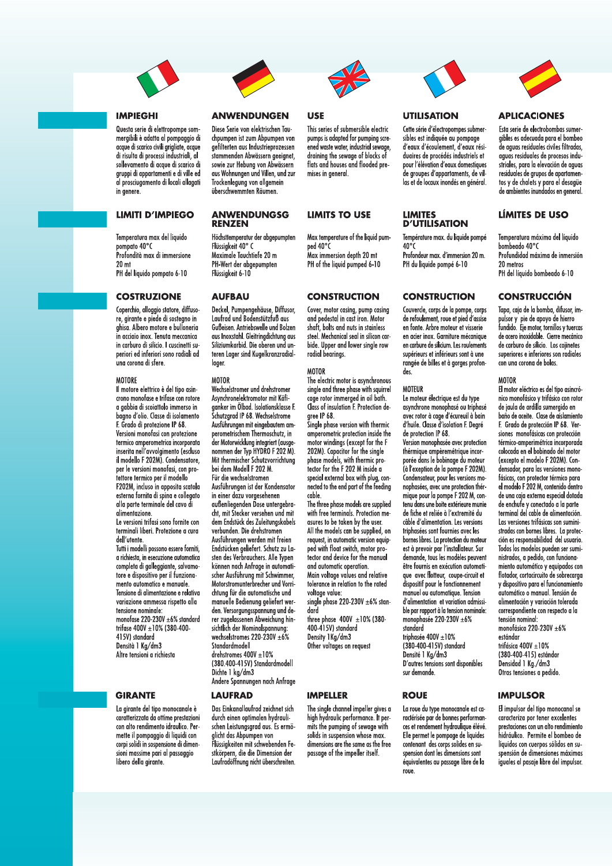

## **IMPIEGHI**

Questa serie di elettropompe sommergibili è adatta al pompaggio di acque di scarico civili grigliate, acque di risulta di processi industriali, al sollevamento di acque di scarico di gruppi di appartamenti e di ville ed al prosciugamento di locali allagati in genere.

#### **LIMITI D'IMPIEGO**

Temperatura max del liquido pompato 40°C Profondità max di immersione  $20<sub>mt</sub>$ PH del liquido pompato 6-10

#### **COSTRUZIONE**

Coperchio, alloggio statore, diffusore, girante e piede di sostegno in<br>ahisa. Albero motore e bulloneria in acciaio inox. Tenuta meccanica in accure more reneral moccanica periori ed inferiori sono radiali ad una corona di sfere.

#### **MOTORE**

Il motore elettrico è del tipo asincrono monofase e trifase con rotore a gabbia di scoiattolo immerso in bagno d'olio. Classe di isolamento F. Grado di protezione IP 68. Versioni monofasi con protezione termico amperometrica incorporata inserita nell'avvolaimento (escluso il modello F 202M). Condensatore. per le versioni monofasi, con protettore termico per il modello F202M, incluso in apposita scatola esterna fornita di spina e collegato alla parte terminale del cavo di alimentazione Le versioni trifasi sono fornite con

terminali liberi. Protezione a cura dell'utente

Tutti i modelli possono essere forniti, a richiesta, in esecuzione automatica completa di galleggiante, salvamotore e dispositivo per il funzionamento automatico e manuale. Tensione di alimentazione e relativa variazione ammessa rispetto alla tensione nominale monofase  $220 - 230V \pm 6\%$  standard trifase 400V ±10% (380-400-415V) standard Densità 1 Kg/dm3 Altre tensioni a richiesta

#### **GIRANTE**

La airante del tipo monocanale è caratterizzata da ottime prestazioni con alto rendimento idraulico. Permette il pompaggio di liquidi con corpi solidi in sospensione di dimensioni massime pari al passaggio libero della airante.



#### **ANWENDUNGEN**

Diese Serie von elektrischen Tauchpumpen ist zum Abpumpen von gefilterten aus Industrieprozessen stammenden Abwässern geeignet, sowie zur Hebung von Abwässern aus Wohnungen und Villen, und zur Trockenlegung von allgemein überschwemmten Räumen.

#### **ANWENDUNGSG DENTEN**

Höchsttemperatur der abgepumpten Flüssigkeit 40°C Maximale Tauchtiefe 20 m PH-Wert der abgepumpten Flüssigkeit 6-10

#### **AUFBAU**

Deckel, Pumpengehäuse, Diffusor,<br>Laufrad und Bodenstützfuß aus Gußeisen. Antriebswelle und Bolzen aus Inoxstahl. Gleitringdichtung aus Siliziumkarbid. Die oberen und unteren Lager sind Kugelkranzradiallager.

#### **MOTOR**

Wechselstromer und drehstromer Asynchronelektromotor mit Käfiganker im Ölbad. Isolationsklasse F. Šchutzgrad IP 68. Wechselstrome Ausführungen mit eingebautem am perometrischem Thermoschutz, in der Motorwicklung integriert (ausgenommen der Typ HYDRO F 202 M).<br>Mit thermischer Schutzvorrichtung bei dem Modell F 202 M. Für die wechselstromen Ausführungen ist der Kondensator in einer dazu vorgesehenen außenliegenden Dose untergebracht, mit Stecker versehen und mit dem Endstück des Zuleitungskabels verbunden. Die drehstromen Ausführungen werden mit freien Endstücken geliefert. Schutz zu La sten des Verbrauchers. Alle Typen können nach Anfrage in automati scher Ausführung mit Schwimmer,<br>Motorstromunterbrecher und Vorrichtung für die automatische und manuelle Bedienung geliefert werden. Versorgungsspannung und derer zugelassenen Abweichung hinsichtlich der Nominalspannung:<br>wechselstromes 220-230V ±6% Standardmodell drehstromes  $400V \pm 10\%$ (380.400-415V) Standardmodell Dichte 1 kg/dm3 Andere Spannungen nach Anfrage

#### **LAUFRAD**

Das Einkanallaufrad zeichnet sich durch einen optimalen hydraulischen Leistungsgrad aus. Es ermöglicht das Abpumpen von Flüssigkeiten mit schwebenden Fe stkörpern, die die Dimension der Laufradöffnung nicht überschreiten.



#### **USE**

This series of submersible electric pumps is adapted for pumping screened waste water, industrial sewage, draining the sewage of blocks of flats and houses and flooded premises in general.

## **LIMITS TO USE**

Max temperature of the liquid pumped 40°C Max immersion depth 20 mt PH of the liquid pumped 6-10

#### **CONSTRUCTION**

Cover, motor casing, pump casing and pedestal in cast iron. Motor shaft, bolts and nuts in stainless steel. Mechanical seal in silicon carbide. Upper and lower single row radial bearings.

#### **MOTOR**

The electric motor is asynchronous single and three phase with squirrel cage rotor immerged in oil bath. Class of insulation F. Protection degree IP 68. Single phase version with thermic

amperometric protection inside the motor windings (except for the F 202M). Capacitor for the sinale phase models, with thermic protector for the F 202 M inside a special external box with plug, connected to the end part of the feeding cable.

The three phase models are supplied with free terminals. Protection measures to be taken by the user. All the models can be supplied, on request, in automatic version equipped with float switch, motor protector and device for the manual and automatic operation Main voltage values and relative tolerance in relation to the rated voltage value:

single phase 220-230V  $\pm 6\%$  standard

three phase  $400V \pm 10\%$  (380-400-415V) standard Density 1Kg/dm3 Other voltages on request

#### **IMPELLER**

The single channel impeller gives a high hydraulic performance. It permits the pumping of sewage with solids in suspension whose max. dimensions are the same as the free passage of the impeller itself.



### **UTILISATION**

Cette série d'électropompes submersibles est indiquée au pompage d'eaux d'écoulement, d'eaux résiduaires de procédés industriels et pour l'élévation d'eaux domestiques de groupes d'appartaments, de villas et de locaux inondés en général.

#### **LIMITES D'UTILISATION**

Température max. du liquide pompé 40°C Profondeur max. d'immersion 20 m. PH du liquide pompé 6-10

#### **CONSTRUCTION**

Couvercle, corps de la pompe, corps de refoulement, roue et pied d'assise en fonte. Arbre moteur et visserie en acier inox. Garniture mécanique en carbure de silicium. Les roulements supérieurs et inférieurs sont à une rangée de billes et à gorges profondes

#### **MOTFUR**

Le moteur électrique est du type asynchrone monophasé ou triphasé avec rotor à cage d'écureuil à bain d'huile. Classe d'isolation F. Degré de protection IP 68.

Version monophasée avec protection thérmique ampèremétrique incorporée dans le bobinage du moteur *Compared to the la pompe* F 202M).<br>Condensateur, pour les versions monophasées, avec une protection thér mique pour la pompe F 202 M, contenu dans une boite extérieure munie de fiche et reliée à l'extremité du câble d'alimentation. Les versions triphasées sont fournies avec les bornes libres. La protection du moteur est à prevoir par l'installateur. Sur demande, tous les modèles peuvent être fournis en exécution automatique avec flotteur, coupe-circuit et dispositif pour le fonctionnement manuel ou automatique. Tension d'alimentation et variation admissi ble par rapport à la tension nominale: monophasée 220-230V  $\pm 6\%$ **standard** triphasée  $400V \pm 10\%$ (380-400-415V) standard Densité 1 Kg/dm3 D'autres tensions sont disponibles sur demande.

#### **ROUE**

La roue du type monocanale est caractérisée par de bonnes performances et rendement hydrauliaue élévé. Elle permet le pompage de liquides contenant des corps solides en suspension dont les dimensions sont équivalentes au passage libre de la

#### **APLICACIONES**

Esta serie de electrobombas sumergibles es adecuada para el bombeo de aguas residuales civiles filtradas, aguas residuales de procesos industriales, para la elevación de aguas residuales de grupos de apartamentos y de chalets y para el desagüe de ambientes inundados en general.

## **LÍMITES DE USO**

Temperatura máxima del líquido bombeado 40°C Profundidad máxima de inmersión 20 metros PH del líquido bombeado 6-10

## **CONSTRUCCIÓN**

Tapa, caja de la bomba, difusor, impulsor y pie de apoyo de hierro<br>fundido. Eje motor, tornillos y tuercas<br>de acero inoxidable. Cierre mecánico de carburo de silicio. Los cojinetes superiores e inferiores son radiales con una corona de bolas.

#### **MOTOR**

El motor eléctrico es del tipo asincrónico monofásico y trifásico con rotor de jaula de ardilla sumergido en baño de aceite. Clase de aislamiento F. Grado de protección IP 68. Versiones monofásicas con protección térmico-amperimétrica incorporada colocada en el bobinado del motor Excepto el modelo F 202M). Con densador, para las versiones monofásicas, con protector térmico para el modelo F 202 M. contenido dentro de una caia externa especial dotada de enchufe y conectado a la parte terminal del cable de alimentación. Las versiones trifásicas son suministradas con bornes libres. La protección es responsabilidad del usuario. Todos los modelos pueden ser suministrados, a pedido, con funcionamiento automático y equipados con flotador, cortacircuito de sobrecarga y dispositivo para el funcionamiento automático o manual. Tensión de alimentación y variación tolerada correspondiente con respecto a la tensión nominal· monofásica  $220-230V + 6%$ estándar trifásica  $400V \pm 10\%$ (380-400-415) estándar Densidad 1 Kg./dm3 Otras tensiones a pedido.

#### **IMPULSOR**

El impulsor del tipo monocanal se caracteriza por tener excelentes prestaciones con un alto rendimiento hidráulico. Permite el bombeo de líquidos con cuerpos sólidos en suspensión de dimensiones máximas iguales al pasaje libre del impulsor.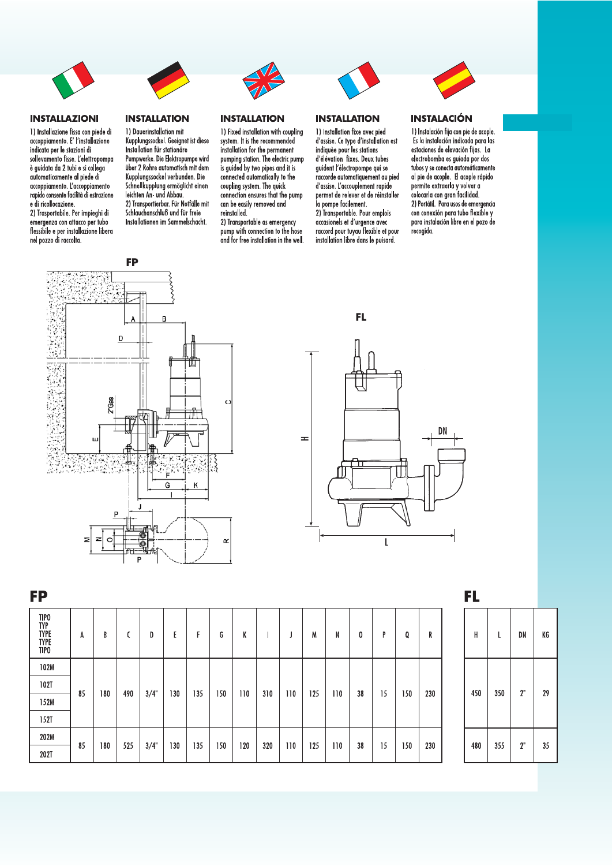

#### **INSTALLAZIONI**

1) Installazione fissa con piede di accoppiamento. E' l'installazione indicata per le stazioni di sollevamento fisse. L'elettropompa è avidata da 2 tubi e si collega automaticamente al piede di accoppiamento. L'accoppiamento<br>rapido consente facilità di estrazione e di ricollocazione.<br>2) Trasportabile. Per impieghi di emergenza con attacco per tubo flessibile e per installazione libera nel pozzo di raccolta.



## **INSTALLATION**

1) Daverinstallation mit Kupplungssockel. Geeignet ist diese Installation für stationäre Pumpwerke. Die Elektropumpe wird über 2 Rohre automatisch mit dem Kupplungssockel verbunden. Die Kopphongssocker verbonden: Die<br>Schnellkupplung ermöglicht einen<br>leichten An- und Abbau. 2) Transportierbar. Für Notfälle mit Schlauchanschluß und für freie Installationen im Sammelschacht.



#### **INSTALLATION**

1) Fixed installation with coupling system. It is the recommended installation for the permanent pumping station. The electric pump is guided by two pipes and it is connected automatically to the compling system. The quick connection ensures that the pump can be easily removed and reinstalled. 2) Transportable as emergency

pump with connection to the hose and for free installation in the well.

#### **INSTALLATION**

1) Installation fixe avec pied d'assise. Ce type d'installation est indiquèe pour les stations<br>d'élévation fixes. Deux tubes avident l'électropompe avi se raccorde automatiquement au pied d'assise. L'accouplement rapide permet de relever et de réinstaller la pompe facilement. 2) Transportable. Pour emplois accasionels et d'urgence avec raccord pour tuyau flexible et pour installation libre dans le puisard.



### **INSTALACIÓN**

1) Instalación fija con pie de acople. Es la instalación indicada para las estaciones de elevación fijas. La electrobomba es guiada por dos tubos y se conecta automáticamente al pie de acople. El acople rápido er pre accepte. Et acepte ra<br>permite extraerla y volver a<br>colocarla con gran facilidad. 2) Portátil. Para usos de emergencia con conexión para tubo flexible y<br>para instalación libre en el pozo de recogida.





| FP                                                     |    |     |     |      |     |     |     |     |     |     |     |     |    |    |     |     |  |
|--------------------------------------------------------|----|-----|-----|------|-----|-----|-----|-----|-----|-----|-----|-----|----|----|-----|-----|--|
| TIPO<br>TYP<br>TYPE<br><b>TYPE</b><br>TIP <sub>0</sub> | A  | B   |     | D    | E   | F   | G   | K   |     | J   | M   | N   | 0  | P  | Q   | R   |  |
| 102M                                                   |    |     |     |      |     |     |     |     |     |     |     |     |    |    |     |     |  |
| <b>102T</b>                                            | 85 |     |     | 3/4" |     |     |     |     |     |     |     |     | 38 | 15 |     |     |  |
| 152M                                                   |    | 180 | 490 |      | 130 | 135 | 150 | 110 | 310 | 110 | 125 | 110 |    |    | 150 | 230 |  |
| <b>152T</b>                                            |    |     |     |      |     |     |     |     |     |     |     |     |    |    |     |     |  |
| 202M                                                   | 85 | 180 | 525 | 3/4" | 130 | 135 | 150 | 120 | 320 | 110 | 125 | 110 | 38 | 15 | 150 | 230 |  |
| <b>202T</b>                                            |    |     |     |      |     |     |     |     |     |     |     |     |    |    |     |     |  |

FL.

 $\mathsf H$ 

450

480

 $\mathbf{L}%$ 

350

355

DN

 $2^{\circ}$ 

 $2^{\circ}$ 

KG

 $29$ 

35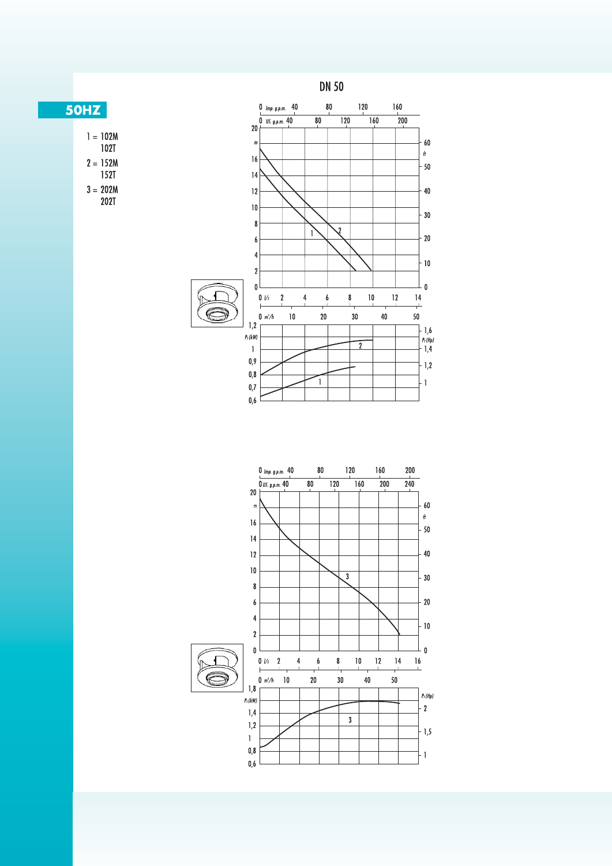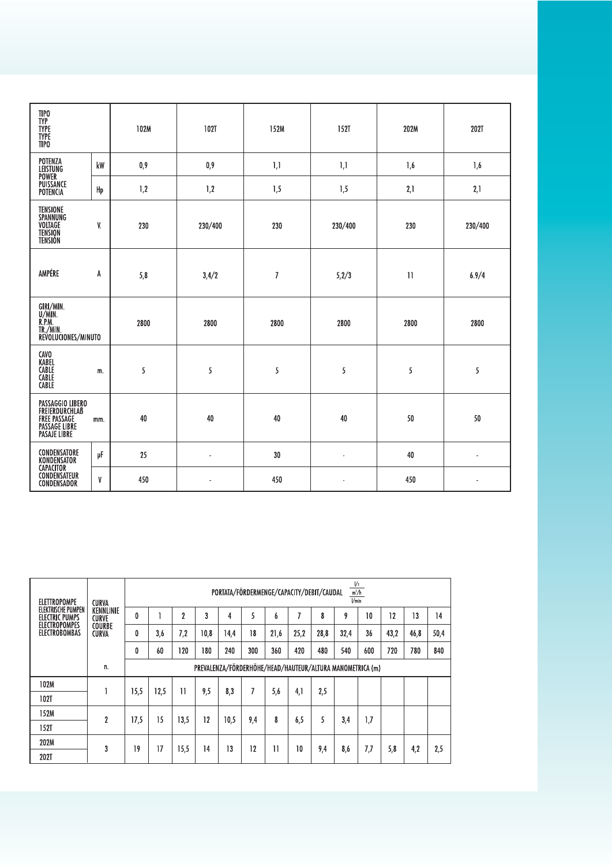| TIPO<br><b>TYP</b><br><b>TYPE</b><br><b>TYPE</b><br><b>TIPO</b>                     |     | 102M | <b>102T</b>         | 152M | 152T           | 202M            | <b>202T</b>    |
|-------------------------------------------------------------------------------------|-----|------|---------------------|------|----------------|-----------------|----------------|
| POTENZA<br><b>LEISTUNG</b><br><b>POWER</b>                                          | kW  | 0,9  | 0,9                 | 1,1  | 1,1            | 1,6             | 1,6            |
| PUISSANCE<br><b>POTENCIA</b>                                                        | Hp  | 1,2  | 1,2                 | 1,5  | 1,5            | 2,1             | 2,1            |
| <b>TENSIONE</b><br>SPANNUNG<br>VOLTAGE<br><b>TENSION</b><br><b>TENSIÓN</b>          | V.  | 230  | 230/400             | 230  | 230/400        | 230             | 230/400        |
| AMPÉRE                                                                              | A   | 5,8  | 3,4/2               | 7    | 5,2/3          | $\overline{11}$ | 6.9/4          |
| GIRI/MIN.<br>U/MIN.<br>R.P.M.<br>R.P.M.<br>REVOLUCIONES/MINUTO                      |     | 2800 | 2800                | 2800 | 2800           | 2800            | 2800           |
| CAVO<br>KABEL<br><b>CABLE</b><br>CABLE<br><b>CABLE</b>                              | m.  | 5    | 5                   | 5    | 5              | 5               | 5              |
| PASSAGGIO LIBERO<br>FREIERDURCHLAB<br>FREE PASSAGE<br>PASSAGE LIBRE<br>PASAJE LIBRE | mm. | 40   | 40                  | 40   | 40             | 50              | 50             |
|                                                                                     | μF  | 25   | $\hat{\phantom{a}}$ | 30   | ä,             | 40              | ä,             |
| CONDENSATORE<br>KONDENSATOR<br>CAPACITOR<br>CONDENSATEUR<br>CONDENSADOR             | V   | 450  | ×                   | 450  | $\blacksquare$ | 450             | $\blacksquare$ |

| ELETTROPOMPE                                 | <b>CURVA</b><br><b>KENNLINIE</b> |              | $\frac{Vs}{m^3/h}$<br>PORTATA/FÖRDERMENGE/CAPACITY/DEBIT/CAUDAL<br>$V$ min |              |      |      |     |      |                |      |      |     |      |      |      |  |
|----------------------------------------------|----------------------------------|--------------|----------------------------------------------------------------------------|--------------|------|------|-----|------|----------------|------|------|-----|------|------|------|--|
| ELEKTRISCHE PUMPEN<br><b>ELECTRIC PUMPS</b>  | <b>CURVE</b>                     | $\mathbf{0}$ |                                                                            | $\mathbf{2}$ | 3    | 4    | 5   | 6    | $\overline{ }$ | 8    | 9    | 10  | 12   | 13   | 14   |  |
| <b>ELECTROPOMPES</b><br><b>ELECTROBOMBAS</b> | COURBE<br>CURVA                  | 0            | 3,6                                                                        | 7,2          | 10,8 | 14,4 | 18  | 21,6 | 25.2           | 28,8 | 32,4 | 36  | 43,2 | 46,8 | 50,4 |  |
|                                              |                                  | 0            | 60                                                                         | 120          | 180  | 240  | 300 | 360  | 420            | 480  | 540  | 600 | 720  | 780  | 840  |  |
|                                              | n.                               |              | PREVALENZA/FÖRDERHÖHE/HEAD/HAUTEUR/ALTURA MANOMETRICA (m)                  |              |      |      |     |      |                |      |      |     |      |      |      |  |
| 102M                                         |                                  | 15,5         | 12,5                                                                       | Н            | 9,5  | 8,3  | 7   | 5,6  | 4,1            | 2,5  |      |     |      |      |      |  |
| 102T                                         |                                  |              |                                                                            |              |      |      |     |      |                |      |      |     |      |      |      |  |
| <b>152M</b>                                  | $\overline{2}$                   | 17,5         | 15                                                                         | 13,5         | 12   | 10,5 | 9,4 | 8    | 6,5            | 5    | 3,4  | 1,7 |      |      |      |  |
| 152T                                         |                                  |              |                                                                            |              |      |      |     |      |                |      |      |     |      |      |      |  |
| 202M                                         | 3                                | 19           | 17                                                                         | 15,5         | 14   | 13   | 12  | 11   | 10             | 9,4  | 8,6  | 7,7 | 5,8  | 4,2  | 2,5  |  |
| <b>202T</b>                                  |                                  |              |                                                                            |              |      |      |     |      |                |      |      |     |      |      |      |  |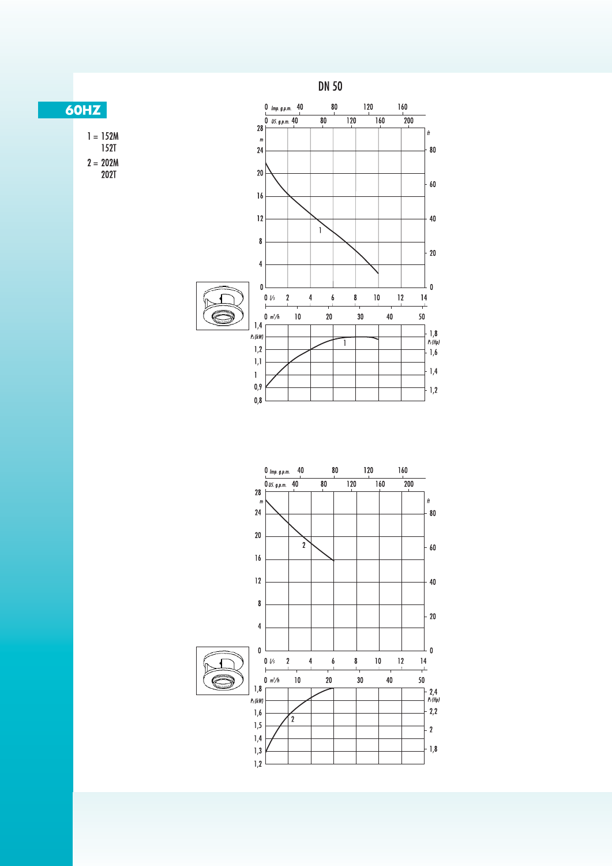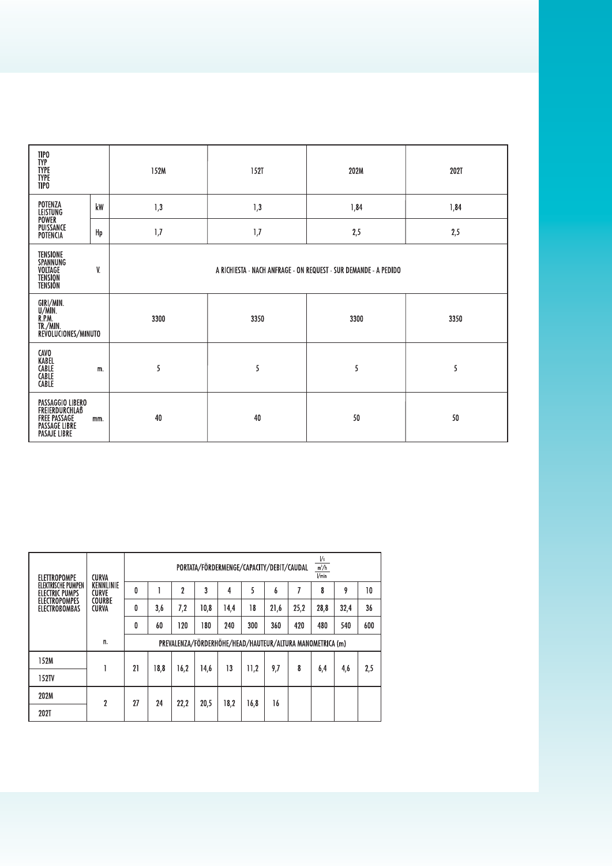| TIP <sub>0</sub><br><b>TYP</b><br><b>TYPE</b><br><b>TYPE</b><br>TIPO                |     | 152M | <b>152T</b> | 202M                                                             | 202T |
|-------------------------------------------------------------------------------------|-----|------|-------------|------------------------------------------------------------------|------|
| POTENZA<br><b>LEISTUNG</b>                                                          | kW  | 1,3  | 1,3         | 1,84                                                             | 1,84 |
| POWER<br>PUISSANCE<br>POTENCIA                                                      | Hp  | 1,7  | 1,7         | 2,5                                                              | 2,5  |
| <b>TENSIONE</b><br>SPANNUNG<br>VOLTAGE<br><b>TENSION</b><br><b>TENSIÓN</b>          | V.  |      |             | A RICHIESTA - NACH ANFRAGE - ON REQUEST - SUR DEMANDE - A PEDIDO |      |
| GIRI/MIN.<br>U/MIN.<br>R.P.M.<br>TR./MIN.<br>REVOLUCIONES/MINUTO                    |     | 3300 | 3350        | 3300                                                             | 3350 |
| CAVO<br>KABEL<br>CABLE<br>CABLE<br>CABLE                                            | m.  | 5    | 5           | 5                                                                | 5    |
| PASSAGGIO LIBERO<br>FREIERDURCHLAß<br>FREE PASSAGE<br>PASSAGE LIBRE<br>PASAJE LIBRE | mm. | 40   | 40          | 50                                                               | 50   |

| <b>ELETTROPOMPE</b>                          | <b>CURVA</b>                     |    |      | $\frac{V_s}{\sqrt{2}}$<br>PORTATA/FÖRDERMENGE/CAPACITY/DEBIT/CAUDAL<br>$m^3/h$<br>$V$ min |      |      |      |      |                                                           |      |      |     |  |  |  |  |
|----------------------------------------------|----------------------------------|----|------|-------------------------------------------------------------------------------------------|------|------|------|------|-----------------------------------------------------------|------|------|-----|--|--|--|--|
| ELEKTRISCHE PUMPEN<br><b>ELECTRIC PUMPS</b>  | <b>KENNLINIE</b><br><b>CURVE</b> | 0  |      | 2                                                                                         | 3    | 4    | 5    | 6    | 7                                                         | 8    | 9    | 10  |  |  |  |  |
| <b>ELECTROPOMPES</b><br><b>ELECTROBOMBAS</b> | COURBE<br><b>CURVA</b>           | 0  | 3,6  | 7,2                                                                                       | 10,8 | 14,4 | 18   | 21,6 | 25,2                                                      | 28,8 | 32,4 | 36  |  |  |  |  |
|                                              |                                  | 0  | 60   | 120                                                                                       | 180  | 240  | 300  | 360  | 420                                                       | 480  | 540  | 600 |  |  |  |  |
|                                              | n.                               |    |      |                                                                                           |      |      |      |      | PREVALENZA/FÖRDERHÖHE/HEAD/HAUTEUR/ALTURA MANOMETRICA (m) |      |      |     |  |  |  |  |
| 152M                                         |                                  | 21 | 18,8 | 16,2                                                                                      | 14,6 | 13   | 11,2 | 9,7  | 8                                                         | 6,4  | 4,6  | 2,5 |  |  |  |  |
| 152TV                                        |                                  |    |      |                                                                                           |      |      |      |      |                                                           |      |      |     |  |  |  |  |
|                                              |                                  |    |      |                                                                                           |      |      |      |      |                                                           |      |      |     |  |  |  |  |
| 202M                                         | $\overline{2}$                   | 27 | 24   | 22,2                                                                                      | 20,5 | 18,2 | 16,8 | 16   |                                                           |      |      |     |  |  |  |  |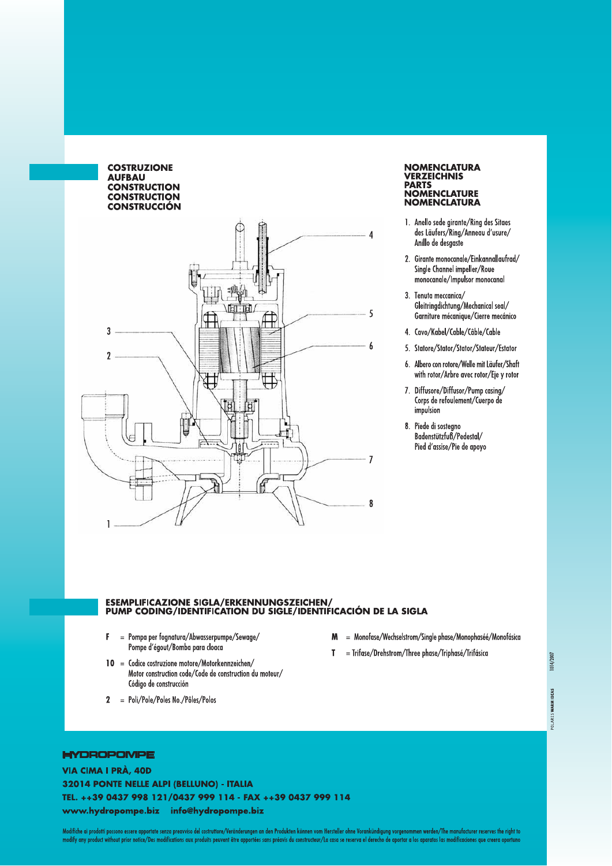

# **NOMENCLATURA**<br>VERZEICHNIS PARTS<br>NOMENCLATURE **NOMENCLATURA**

- 1. Anello sede girante/Ring des Sitaes des Läufers/Ring/Anneau d'usure/ Anillo de desgaste
- 2. Girante monocanale/Einkannallaufrad/ Single Channel impeller/Roue monocanale/Impulsor monocanal
- 3. Tenuta meccanica/ Gleitringdichtung/Mechanical seal/ Garniture mécanique/Cierre mecánico
- 4. Cavo/Kabel/Cable/Câble/Cable
- 5. Statore/Stator/Stator/Stateur/Estator
- 6. Albero con rotore/Welle mit Läufer/Shaft with rotor/Arbre avec rotor/Eje y rotor
- 7. Diffusore/Diffusor/Pump casing/ Corps de refoulement/Cuerpo de impulsion
- 8. Piede di sostegno Badenstützfuß/Pedestal/ Pied d'assise/Pie de apoyo

# ESEMPLIFICAZIONE SIGLA/ERKENNUNGSZEICHEN/<br>PUMP CODING/IDENTIFICATION DU SIGLE/IDENTIFICACIÓN DE LA SIGLA

- = Pompa per fognatura/Abwasserpumpe/Sewage/ F Pompe d'égout/Bomba para cloaca
- 10 = Codice costruzione motore/Motorkennzeichen/ Motor construction code/Code de construction du moteur/ Código de construcción
- 2 = Poli/Pole/Poles No./Pôles/Polos
- = Monofase/Wechselstrom/Single phase/Monophaséé/Monofásica W
- = Trifase/Drehstrom/Three phase/Triphasé/Trifásica  $\mathsf{T}$